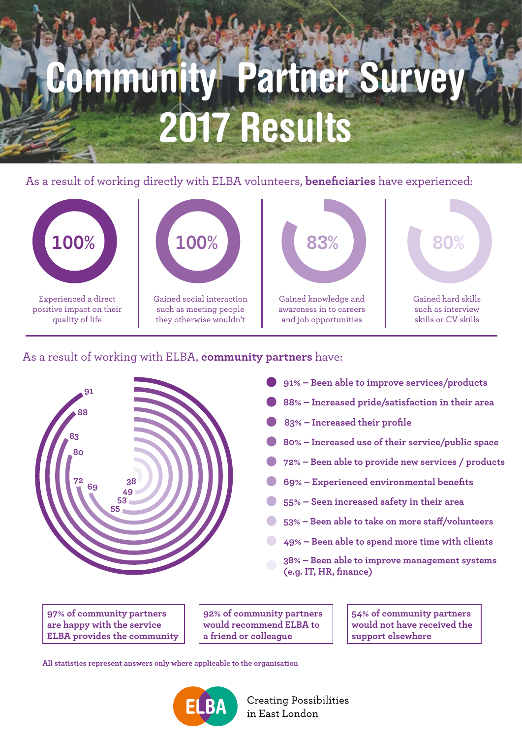# Community Partner Survey 2017 Results

As a result of working directly with ELBA volunteers, **beneficiaries** have experienced:



As a result of working with ELBA, **community partners** have:



- **91% Been able to improve services/products**
- **88% Increased pride/satisfaction in their area**
- **83% Increased their profile**
- **80% Increased use of their service/public space**
- **72% Been able to provide new services / products**
- **69% Experienced environmental benefits**
- **55% Seen increased safety in their area**
- **53% Been able to take on more staff/volunteers**
	- **49% Been able to spend more time with clients**
	- **38% Been able to improve management systems (e.g. IT, HR, finance)**

**97% of community partners are happy with the service ELBA provides the community**

**92% of community partners would recommend ELBA to a friend or colleague**

**54% of community partners would not have received the support elsewhere**

**All statistics represent answers only where applicable to the organisation**



**Creating Possibilities** in East London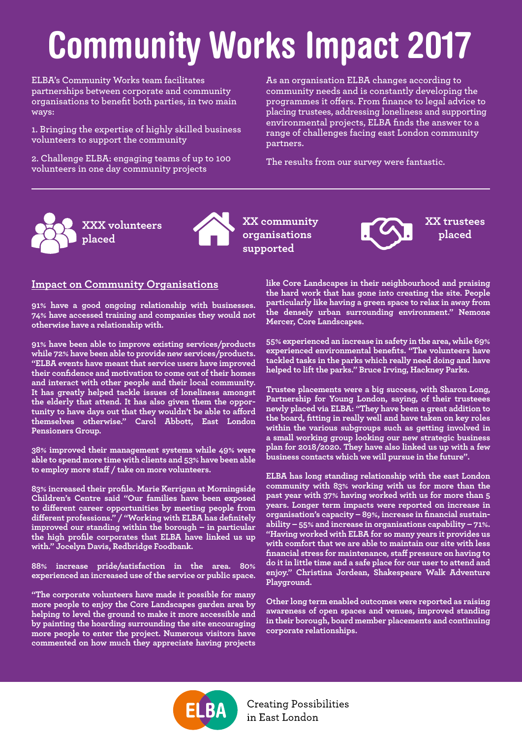### Community Works Impact 2017

**ELBA's Community Works team facilitates partnerships between corporate and community organisations to benefit both parties, in two main ways:**

**1. Bringing the expertise of highly skilled business volunteers to support the community**

**2. Challenge ELBA: engaging teams of up to 100 volunteers in one day community projects**

**As an organisation ELBA changes according to community needs and is constantly developing the programmes it offers. From finance to legal advice to placing trustees, addressing loneliness and supporting environmental projects, ELBA finds the answer to a range of challenges facing east London community partners.** 

**The results from our survey were fantastic.**



**XX community organisations supported**

### **Impact on Community Organisations**

**91% have a good ongoing relationship with businesses. 74% have accessed training and companies they would not otherwise have a relationship with.** 

**91% have been able to improve existing services/products while 72% have been able to provide new services/products. "ELBA events have meant that service users have improved their confidence and motivation to come out of their homes and interact with other people and their local community. It has greatly helped tackle issues of loneliness amongst the elderly that attend. It has also given them the opportunity to have days out that they wouldn't be able to afford themselves otherwise." Carol Abbott, East London Pensioners Group.** 

**38% improved their management systems while 49% were able to spend more time with clients and 53% have been able to employ more staff / take on more volunteers.** 

**83% increased their profile. Marie Kerrigan at Morningside Children's Centre said "Our families have been exposed to different career opportunities by meeting people from different professions." / "Working with ELBA has definitely improved our standing within the borough – in particular the high profile corporates that ELBA have linked us up with." Jocelyn Davis, Redbridge Foodbank.** 

**88% increase pride/satisfaction in the area. 80% experienced an increased use of the service or public space.** 

**"The corporate volunteers have made it possible for many more people to enjoy the Core Landscapes garden area by helping to level the ground to make it more accessible and by painting the hoarding surrounding the site encouraging more people to enter the project. Numerous visitors have commented on how much they appreciate having projects**  **like Core Landscapes in their neighbourhood and praising the hard work that has gone into creating the site. People particularly like having a green space to relax in away from the densely urban surrounding environment." Nemone Mercer, Core Landscapes.** 

**XX trustees placed**

**55% experienced an increase in safety in the area, while 69% experienced environmental benefits. "The volunteers have tackled tasks in the parks which really need doing and have helped to lift the parks." Bruce Irving, Hackney Parks.**

**Trustee placements were a big success, with Sharon Long, Partnership for Young London, saying, of their trusteees newly placed via ELBA: "They have been a great addition to the board, fitting in really well and have taken on key roles within the various subgroups such as getting involved in a small working group looking our new strategic business plan for 2018/2020. They have also linked us up with a few business contacts which we will pursue in the future".**

**ELBA has long standing relationship with the east London community with 83% working with us for more than the past year with 37% having worked with us for more than 5 years. Longer term impacts were reported on increase in organisation's capacity – 89%, increase in financial sustainability – 55% and increase in organisations capability – 71%. "Having worked with ELBA for so many years it provides us with comfort that we are able to maintain our site with less financial stress for maintenance, staff pressure on having to do it in little time and a safe place for our user to attend and enjoy." Christina Jordean, Shakespeare Walk Adventure Playground.** 

**Other long term enabled outcomes were reported as raising awareness of open spaces and venues, improved standing in their borough, board member placements and continuing corporate relationships.** 



**Creating Possibilities** in East London